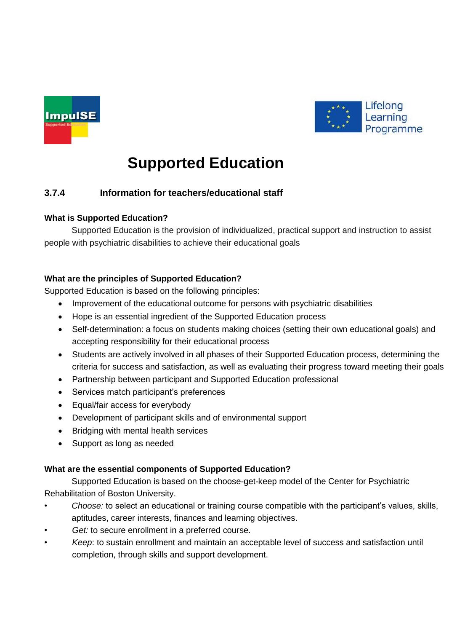



# **Supported Education**

# **3.7.4 Information for teachers/educational staff**

## **What is Supported Education?**

Supported Education is the provision of individualized, practical support and instruction to assist people with psychiatric disabilities to achieve their educational goals

## **What are the principles of Supported Education?**

Supported Education is based on the following principles:

- Improvement of the educational outcome for persons with psychiatric disabilities
- Hope is an essential ingredient of the Supported Education process
- Self-determination: a focus on students making choices (setting their own educational goals) and accepting responsibility for their educational process
- Students are actively involved in all phases of their Supported Education process, determining the criteria for success and satisfaction, as well as evaluating their progress toward meeting their goals
- Partnership between participant and Supported Education professional
- Services match participant's preferences
- Equal/fair access for everybody
- Development of participant skills and of environmental support
- Bridging with mental health services
- Support as long as needed

#### **What are the essential components of Supported Education?**

Supported Education is based on the choose-get-keep model of the Center for Psychiatric Rehabilitation of Boston University.

- *Choose:* to select an educational or training course compatible with the participant's values, skills, aptitudes, career interests, finances and learning objectives.
- Get: to secure enrollment in a preferred course.
- *Keep*: to sustain enrollment and maintain an acceptable level of success and satisfaction until completion, through skills and support development.